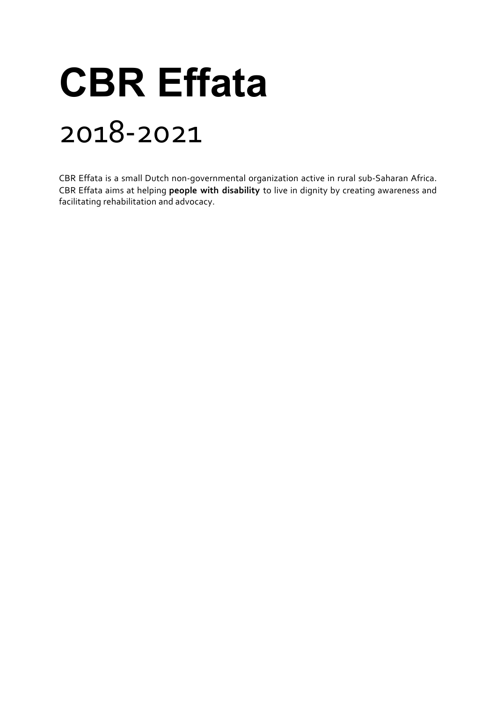# **CBR Effata**  2018-2021

CBR Effata is a small Dutch non-governmental organization active in rural sub-Saharan Africa. CBR Effata aims at helping **people with disability** to live in dignity by creating awareness and facilitating rehabilitation and advocacy.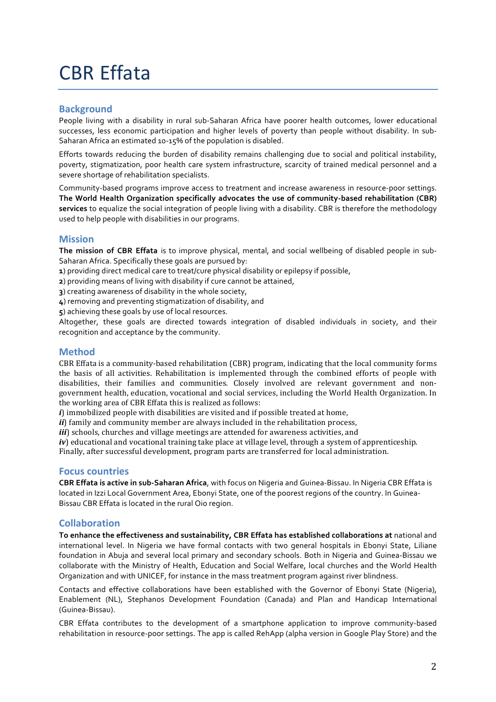### CBR Effata

#### **Background**

People living with a disability in rural sub-Saharan Africa have poorer health outcomes, lower educational successes, less economic participation and higher levels of poverty than people without disability. In sub-Saharan Africa an estimated 10-15% of the population is disabled.

Efforts towards reducing the burden of disability remains challenging due to social and political instability, poverty, stigmatization, poor health care system infrastructure, scarcity of trained medical personnel and a severe shortage of rehabilitation specialists.

Community-based programs improve access to treatment and increase awareness in resource-poor settings. The World Health Organization specifically advocates the use of community-based rehabilitation (CBR) services to equalize the social integration of people living with a disability. CBR is therefore the methodology used to help people with disabilities in our programs.

#### **Mission**

The mission of CBR Effata is to improve physical, mental, and social wellbeing of disabled people in sub-Saharan Africa. Specifically these goals are pursued by:

1) providing direct medical care to treat/cure physical disability or epilepsy if possible,

**2**) providing means of living with disability if cure cannot be attained,

**3**) creating awareness of disability in the whole society,

4) removing and preventing stigmatization of disability, and

5) achieving these goals by use of local resources.

Altogether, these goals are directed towards integration of disabled individuals in society, and their recognition and acceptance by the community.

#### **Method**

CBR Effata is a community-based rehabilitation (CBR) program, indicating that the local community forms the basis of all activities. Rehabilitation is implemented through the combined efforts of people with disabilities, their families and communities. Closely involved are relevant government and nongovernment health, education, vocational and social services, including the World Health Organization. In the working area of CBR Effata this is realized as follows:

*i*) immobilized people with disabilities are visited and if possible treated at home,

*ii*) family and community member are always included in the rehabilitation process,

*iii*) schools, churches and village meetings are attended for awareness activities, and

*iv*) educational and vocational training take place at village level, through a system of apprenticeship.

Finally, after successful development, program parts are transferred for local administration.

#### **Focus countries**

**CBR Effata is active in sub-Saharan Africa**, with focus on Nigeria and Guinea-Bissau. In Nigeria CBR Effata is located in Izzi Local Government Area, Ebonyi State, one of the poorest regions of the country. In Guinea-Bissau CBR Effata is located in the rural Oio region.

#### **Collaboration**

To enhance the effectiveness and sustainability, CBR Effata has established collaborations at national and international level. In Nigeria we have formal contacts with two general hospitals in Ebonyi State, Liliane foundation in Abuja and several local primary and secondary schools. Both in Nigeria and Guinea-Bissau we collaborate with the Ministry of Health, Education and Social Welfare, local churches and the World Health Organization and with UNICEF, for instance in the mass treatment program against river blindness.

Contacts and effective collaborations have been established with the Governor of Ebonyi State (Nigeria), Enablement (NL), Stephanos Development Foundation (Canada) and Plan and Handicap International (Guinea-Bissau).

CBR Effata contributes to the development of a smartphone application to improve community-based rehabilitation in resource-poor settings. The app is called RehApp (alpha version in Google Play Store) and the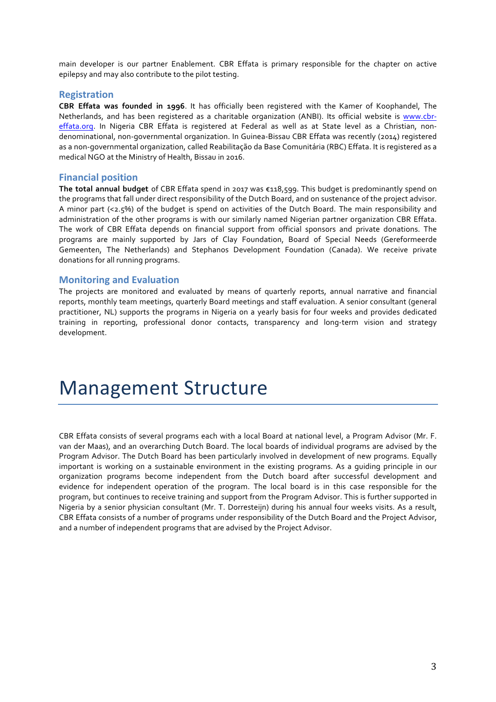main developer is our partner Enablement. CBR Effata is primary responsible for the chapter on active epilepsy and may also contribute to the pilot testing.

#### **Registration**

**CBR Effata was founded in 1996**. It has officially been registered with the Kamer of Koophandel, The Netherlands, and has been registered as a charitable organization (ANBI). Its official website is www.cbreffata.org. In Nigeria CBR Effata is registered at Federal as well as at State level as a Christian, nondenominational, non-governmental organization. In Guinea-Bissau CBR Effata was recently (2014) registered as a non-governmental organization, called Reabilitação da Base Comunitária (RBC) Effata. It is registered as a medical NGO at the Ministry of Health, Bissau in 2016.

#### **Financial position**

The total annual budget of CBR Effata spend in 2017 was €118,599. This budget is predominantly spend on the programs that fall under direct responsibility of the Dutch Board, and on sustenance of the project advisor. A minor part (<2.5%) of the budget is spend on activities of the Dutch Board. The main responsibility and administration of the other programs is with our similarly named Nigerian partner organization CBR Effata. The work of CBR Effata depends on financial support from official sponsors and private donations. The programs are mainly supported by Jars of Clay Foundation, Board of Special Needs (Gereformeerde Gemeenten, The Netherlands) and Stephanos Development Foundation (Canada). We receive private donations for all running programs.

#### **Monitoring and Evaluation**

The projects are monitored and evaluated by means of quarterly reports, annual narrative and financial reports, monthly team meetings, quarterly Board meetings and staff evaluation. A senior consultant (general practitioner, NL) supports the programs in Nigeria on a yearly basis for four weeks and provides dedicated training in reporting, professional donor contacts, transparency and long-term vision and strategy development.

### Management Structure

CBR Effata consists of several programs each with a local Board at national level, a Program Advisor (Mr. F. van der Maas), and an overarching Dutch Board. The local boards of individual programs are advised by the Program Advisor. The Dutch Board has been particularly involved in development of new programs. Equally important is working on a sustainable environment in the existing programs. As a quiding principle in our organization programs become independent from the Dutch board after successful development and evidence for independent operation of the program. The local board is in this case responsible for the program, but continues to receive training and support from the Program Advisor. This is further supported in Nigeria by a senior physician consultant (Mr. T. Dorresteijn) during his annual four weeks visits. As a result, CBR Effata consists of a number of programs under responsibility of the Dutch Board and the Project Advisor, and a number of independent programs that are advised by the Project Advisor.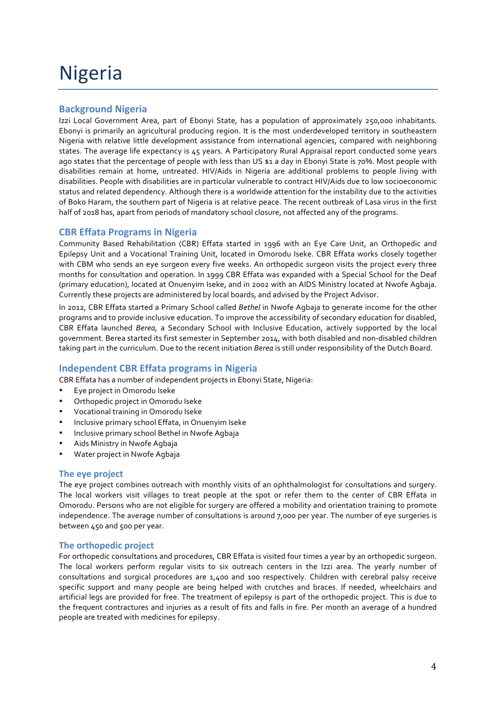### Nigeria

#### **Background Nigeria**

Izzi Local Government Area, part of Ebonyi State, has a population of approximately 250,000 inhabitants. Ebonyi is primarily an agricultural producing region. It is the most underdeveloped territory in southeastern Nigeria with relative little development assistance from international agencies, compared with neighboring states. The average life expectancy is 45 years. A Participatory Rural Appraisal report conducted some years ago states that the percentage of people with less than US \$1 a day in Ebonyi State is 70%. Most people with disabilities remain at home, untreated. HIV/Aids in Nigeria are additional problems to people living with disabilities. People with disabilities are in particular vulnerable to contract HIV/Aids due to low socioeconomic status and related dependency. Although there is a worldwide attention for the instability due to the activities of Boko Haram, the southern part of Nigeria is at relative peace. The recent outbreak of Lasa virus in the first half of 2018 has, apart from periods of mandatory school closure, not affected any of the programs.

#### **CBR Effata Programs in Nigeria**

Community Based Rehabilitation (CBR) Effata started in 1996 with an Eye Care Unit, an Orthopedic and Epilepsy Unit and a Vocational Training Unit, located in Omorodu Iseke. CBR Effata works closely together with CBM who sends an eye surgeon every five weeks. An orthopedic surgeon visits the project every three months for consultation and operation. In 1999 CBR Effata was expanded with a Special School for the Deaf (primary education), located at Onuenyim Iseke, and in 2002 with an AIDS Ministry located at Nwofe Agbaja. Currently these projects are administered by local boards, and advised by the Project Advisor.

In 2012, CBR Effata started a Primary School called *Bethel* in Nwofe Agbaja to generate income for the other programs and to provide inclusive education. To improve the accessibility of secondary education for disabled, CBR Effata launched *Berea*, a Secondary School with Inclusive Education, actively supported by the local government. Berea started its first semester in September 2014, with both disabled and non-disabled children taking part in the curriculum. Due to the recent initiation *Berea* is still under responsibility of the Dutch Board.

#### **Independent CBR Effata programs in Nigeria**

CBR Effata has a number of independent projects in Ebonyi State, Nigeria:

- Eve project in Omorodu Iseke
- Orthopedic project in Omorodu Iseke
- Vocational training in Omorodu Iseke
- Inclusive primary school Effata, in Onuenyim Iseke
- Inclusive primary school Bethel in Nwofe Agbaja
- Aids Ministry in Nwofe Agbaja
- Water project in Nwofe Agbaja

#### **The eve project**

The eye project combines outreach with monthly visits of an ophthalmologist for consultations and surgery. The local workers visit villages to treat people at the spot or refer them to the center of CBR Effata in Omorodu. Persons who are not eligible for surgery are offered a mobility and orientation training to promote independence. The average number of consultations is around 7,000 per year. The number of eye surgeries is between  $450$  and 500 per year.

#### **The orthopedic project**

For orthopedic consultations and procedures, CBR Effata is visited four times a year by an orthopedic surgeon. The local workers perform regular visits to six outreach centers in the Izzi area. The yearly number of consultations and surgical procedures are 1,400 and 100 respectively. Children with cerebral palsy receive specific support and many people are being helped with crutches and braces. If needed, wheelchairs and artificial legs are provided for free. The treatment of epilepsy is part of the orthopedic project. This is due to the frequent contractures and injuries as a result of fits and falls in fire. Per month an average of a hundred people are treated with medicines for epilepsy.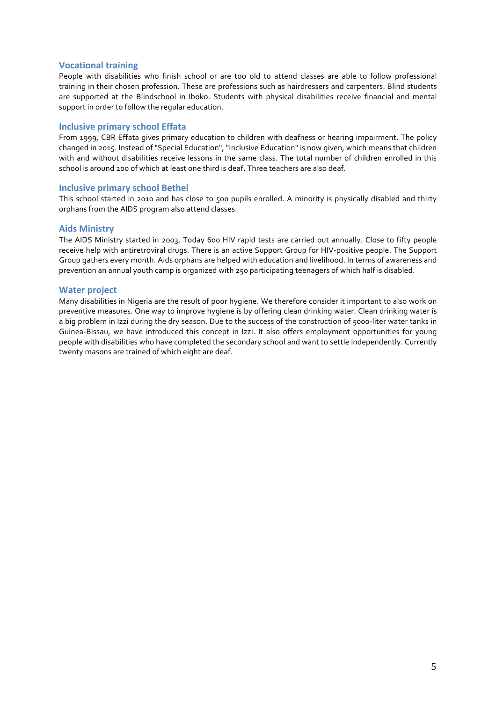#### **Vocational training**

People with disabilities who finish school or are too old to attend classes are able to follow professional training in their chosen profession. These are professions such as hairdressers and carpenters. Blind students are supported at the Blindschool in Iboko. Students with physical disabilities receive financial and mental support in order to follow the regular education.

#### **Inclusive primary school Effata**

From 1999, CBR Effata gives primary education to children with deafness or hearing impairment. The policy changed in 2015. Instead of "Special Education", "Inclusive Education" is now given, which means that children with and without disabilities receive lessons in the same class. The total number of children enrolled in this school is around 200 of which at least one third is deaf. Three teachers are also deaf.

#### **Inclusive primary school Bethel**

This school started in 2010 and has close to 500 pupils enrolled. A minority is physically disabled and thirty orphans from the AIDS program also attend classes.

#### **Aids Ministry**

The AIDS Ministry started in 2003. Today 600 HIV rapid tests are carried out annually. Close to fifty people receive help with antiretroviral drugs. There is an active Support Group for HIV-positive people. The Support Group gathers every month. Aids orphans are helped with education and livelihood. In terms of awareness and prevention an annual youth camp is organized with 250 participating teenagers of which half is disabled.

#### **Water project**

Many disabilities in Nigeria are the result of poor hygiene. We therefore consider it important to also work on preventive measures. One way to improve hygiene is by offering clean drinking water. Clean drinking water is a big problem in Izzi during the dry season. Due to the success of the construction of 5000-liter water tanks in Guinea-Bissau, we have introduced this concept in Izzi. It also offers employment opportunities for young people with disabilities who have completed the secondary school and want to settle independently. Currently twenty masons are trained of which eight are deaf.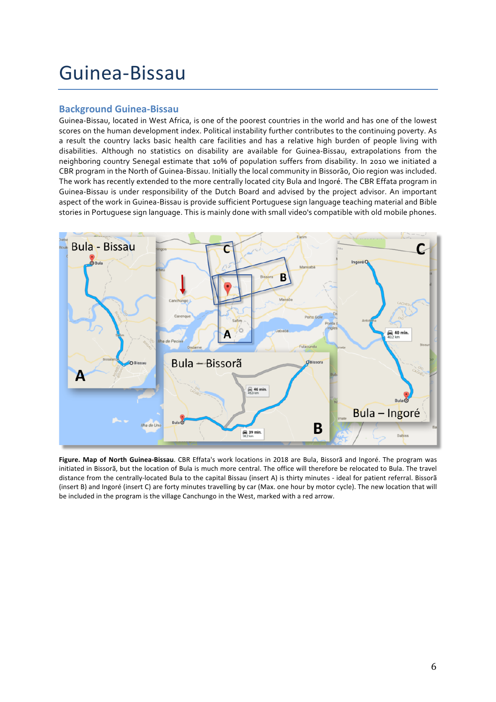### Guinea-Bissau

#### **Background Guinea-Bissau**

Guinea-Bissau, located in West Africa, is one of the poorest countries in the world and has one of the lowest scores on the human development index. Political instability further contributes to the continuing poverty. As a result the country lacks basic health care facilities and has a relative high burden of people living with disabilities. Although no statistics on disability are available for Guinea-Bissau, extrapolations from the neighboring country Senegal estimate that 10% of population suffers from disability. In 2010 we initiated a CBR program in the North of Guinea-Bissau. Initially the local community in Bissorão, Oio region was included. The work has recently extended to the more centrally located city Bula and Ingoré. The CBR Effata program in Guinea-Bissau is under responsibility of the Dutch Board and advised by the project advisor. An important aspect of the work in Guinea-Bissau is provide sufficient Portuguese sign language teaching material and Bible stories in Portuguese sign language. This is mainly done with small video's compatible with old mobile phones.



Figure. Map of North Guinea-Bissau. CBR Effata's work locations in 2018 are Bula, Bissorã and Ingoré. The program was initiated in Bissorã, but the location of Bula is much more central. The office will therefore be relocated to Bula. The travel distance from the centrally-located Bula to the capital Bissau (insert A) is thirty minutes - ideal for patient referral. Bissorã (insert B) and Ingoré (insert C) are forty minutes travelling by car (Max. one hour by motor cycle). The new location that will be included in the program is the village Canchungo in the West, marked with a red arrow.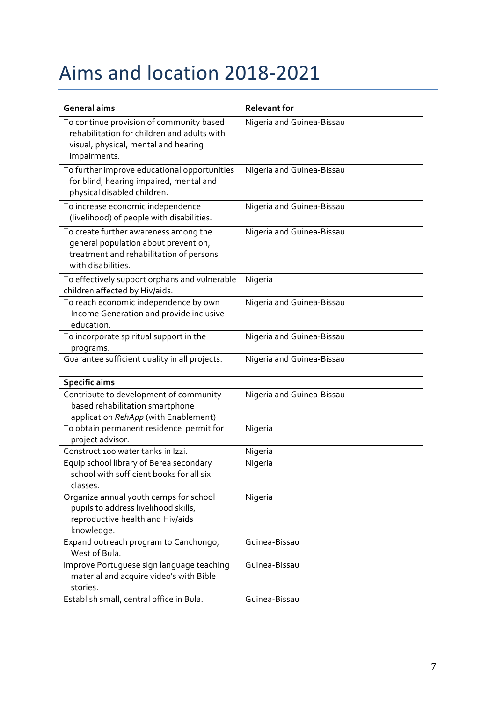## Aims and location 2018-2021

| <b>General aims</b>                                                            | <b>Relevant for</b>       |
|--------------------------------------------------------------------------------|---------------------------|
| To continue provision of community based                                       |                           |
| rehabilitation for children and adults with                                    | Nigeria and Guinea-Bissau |
| visual, physical, mental and hearing                                           |                           |
| impairments.                                                                   |                           |
| To further improve educational opportunities                                   | Nigeria and Guinea-Bissau |
| for blind, hearing impaired, mental and<br>physical disabled children.         |                           |
|                                                                                |                           |
| To increase economic independence<br>(livelihood) of people with disabilities. | Nigeria and Guinea-Bissau |
| To create further awareness among the                                          | Nigeria and Guinea-Bissau |
| general population about prevention,                                           |                           |
| treatment and rehabilitation of persons                                        |                           |
| with disabilities.                                                             |                           |
| To effectively support orphans and vulnerable                                  | Nigeria                   |
| children affected by Hiv/aids.                                                 |                           |
| To reach economic independence by own                                          | Nigeria and Guinea-Bissau |
| Income Generation and provide inclusive                                        |                           |
| education.                                                                     |                           |
| To incorporate spiritual support in the                                        | Nigeria and Guinea-Bissau |
| programs.<br>Guarantee sufficient quality in all projects.                     | Nigeria and Guinea-Bissau |
|                                                                                |                           |
| <b>Specific aims</b>                                                           |                           |
| Contribute to development of community-                                        | Nigeria and Guinea-Bissau |
| based rehabilitation smartphone                                                |                           |
| application RehApp (with Enablement)                                           |                           |
| To obtain permanent residence permit for                                       | Nigeria                   |
| project advisor.                                                               |                           |
| Construct 100 water tanks in Izzi.                                             | Nigeria                   |
| Equip school library of Berea secondary                                        | Nigeria                   |
| school with sufficient books for all six                                       |                           |
| classes.<br>Organize annual youth camps for school                             | Nigeria                   |
| pupils to address livelihood skills,                                           |                           |
| reproductive health and Hiv/aids                                               |                           |
| knowledge.                                                                     |                           |
| Expand outreach program to Canchungo,                                          | Guinea-Bissau             |
| West of Bula.                                                                  |                           |
| Improve Portuguese sign language teaching                                      | Guinea-Bissau             |
| material and acquire video's with Bible                                        |                           |
| stories.                                                                       |                           |
| Establish small, central office in Bula.                                       | Guinea-Bissau             |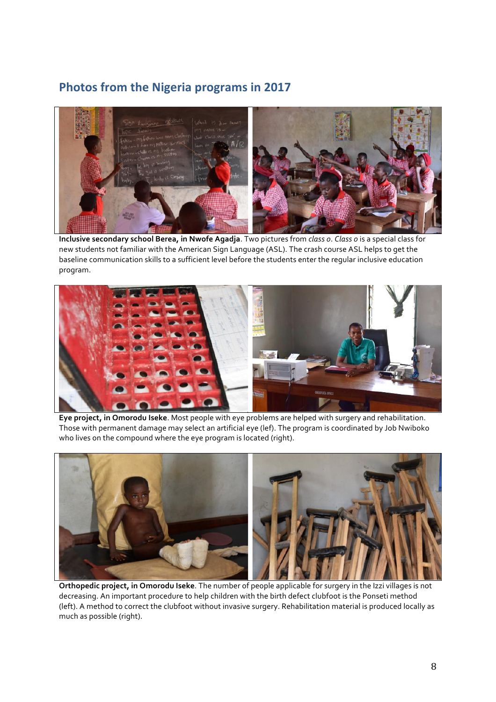### **Photos from the Nigeria programs in 2017**



**Inclusive secondary school Berea, in Nwofe Agadja**. Two pictures from *class o. Class o* is a special class for new students not familiar with the American Sign Language (ASL). The crash course ASL helps to get the baseline communication skills to a sufficient level before the students enter the regular inclusive education program.



Eye project, in Omorodu Iseke. Most people with eye problems are helped with surgery and rehabilitation. Those with permanent damage may select an artificial eye (lef). The program is coordinated by Job Nwiboko who lives on the compound where the eye program is located (right).



**Orthopedic project, in Omorodu Iseke**. The number of people applicable for surgery in the Izzi villages is not decreasing. An important procedure to help children with the birth defect clubfoot is the Ponseti method (left). A method to correct the clubfoot without invasive surgery. Rehabilitation material is produced locally as much as possible (right).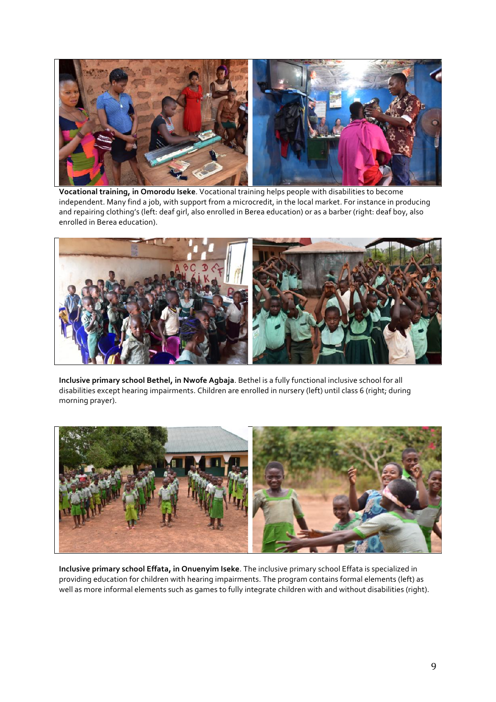

**Vocational training, in Omorodu Iseke**. Vocational training helps people with disabilities to become independent. Many find a job, with support from a microcredit, in the local market. For instance in producing and repairing clothing's (left: deaf girl, also enrolled in Berea education) or as a barber (right: deaf boy, also enrolled in Berea education).



**Inclusive primary school Bethel, in Nwofe Agbaja**. Bethel is a fully functional inclusive school for all disabilities except hearing impairments. Children are enrolled in nursery (left) until class 6 (right; during morning prayer).



**Inclusive primary school Effata, in Onuenyim Iseke**. The inclusive primary school Effata is specialized in providing education for children with hearing impairments. The program contains formal elements (left) as well as more informal elements such as games to fully integrate children with and without disabilities (right).